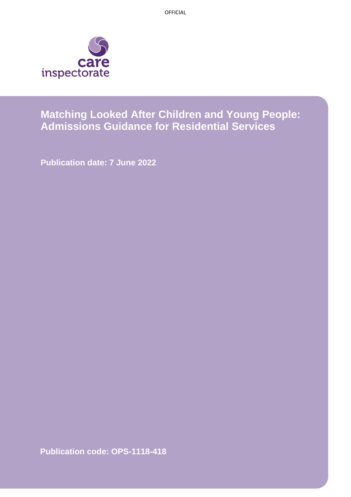OFFICIAL



# **Matching Looked After Children and Young People: Admissions Guidance for Residential Services**

**Publication date: 7 June 2022**

**Publication code: OPS-1118-418**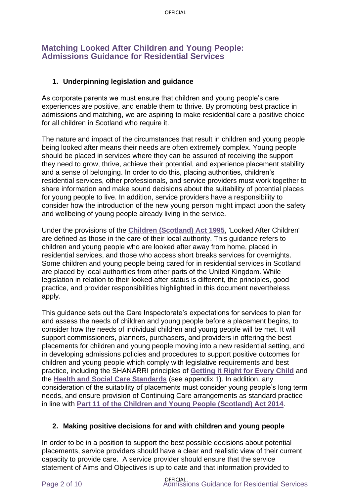## **Matching Looked After Children and Young People: Admissions Guidance for Residential Services**

#### **1. Underpinning legislation and guidance**

As corporate parents we must ensure that children and young people's care experiences are positive, and enable them to thrive. By promoting best practice in admissions and matching, we are aspiring to make residential care a positive choice for all children in Scotland who require it.

The nature and impact of the circumstances that result in children and young people being looked after means their needs are often extremely complex. Young people should be placed in services where they can be assured of receiving the support they need to grow, thrive, achieve their potential, and experience placement stability and a sense of belonging. In order to do this, placing authorities, children's residential services, other professionals, and service providers must work together to share information and make sound decisions about the suitability of potential places for young people to live. In addition, service providers have a responsibility to consider how the introduction of the new young person might impact upon the safety and wellbeing of young people already living in the service.

Under the provisions of the **[Children \(Scotland\) Act 1995](http://www.legislation.gov.uk/ukpga/1995/36/contents)**, 'Looked After Children' are defined as those in the care of their local authority. This guidance refers to children and young people who are looked after away from home, placed in residential services, and those who access short breaks services for overnights. Some children and young people being cared for in residential services in Scotland are placed by local authorities from other parts of the United Kingdom. While legislation in relation to their looked after status is different, the principles, good practice, and provider responsibilities highlighted in this document nevertheless apply.

This guidance sets out the Care Inspectorate's expectations for services to plan for and assess the needs of children and young people before a placement begins, to consider how the needs of individual children and young people will be met. It will support commissioners, planners, purchasers, and providers in offering the best placements for children and young people moving into a new residential setting, and in developing admissions policies and procedures to support positive outcomes for children and young people which comply with legislative requirements and best practice, including the SHANARRI principles of **[Getting it Right for Every Child](http://www.gov.scot/Topics/People/Young-People/gettingitright)** and the **[Health and Social Care Standards](http://www.newcarestandards.scot/)** (see appendix 1). In addition, any consideration of the suitability of placements must consider young people's long term needs, and ensure provision of Continuing Care arrangements as standard practice in line with **[Part 11 of the Children and Young People \(Scotland\) Act 2014](http://www.gov.scot/Publications/2016/11/4644)**.

#### **2. Making positive decisions for and with children and young people**

In order to be in a position to support the best possible decisions about potential placements, service providers should have a clear and realistic view of their current capacity to provide care. A service provider should ensure that the service statement of Aims and Objectives is up to date and that information provided to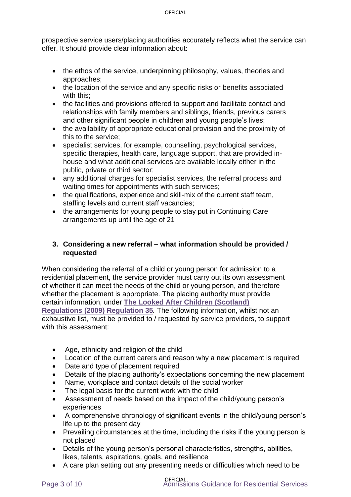prospective service users/placing authorities accurately reflects what the service can offer. It should provide clear information about:

- the ethos of the service, underpinning philosophy, values, theories and approaches;
- the location of the service and any specific risks or benefits associated with this;
- the facilities and provisions offered to support and facilitate contact and relationships with family members and siblings, friends, previous carers and other significant people in children and young people's lives;
- the availability of appropriate educational provision and the proximity of this to the service;
- specialist services, for example, counselling, psychological services, specific therapies, health care, language support, that are provided inhouse and what additional services are available locally either in the public, private or third sector;
- any additional charges for specialist services, the referral process and waiting times for appointments with such services;
- the qualifications, experience and skill-mix of the current staff team, staffing levels and current staff vacancies;
- the arrangements for young people to stay put in Continuing Care arrangements up until the age of 21

#### **3. Considering a new referral – what information should be provided / requested**

When considering the referral of a child or young person for admission to a residential placement, the service provider must carry out its own assessment of whether it can meet the needs of the child or young person, and therefore whether the placement is appropriate. The placing authority must provide certain information, under **[The Looked After Children \(Scotland\)](http://www.legislation.gov.uk/ssi/2009/210/regulation/35/made)  [Regulations \(2009\) Regulation 35](http://www.legislation.gov.uk/ssi/2009/210/regulation/35/made)***.* The following information, whilst not an exhaustive list, must be provided to / requested by service providers, to support with this assessment:

- Age, ethnicity and religion of the child
- Location of the current carers and reason why a new placement is required
- Date and type of placement required
- Details of the placing authority's expectations concerning the new placement
- Name, workplace and contact details of the social worker
- The legal basis for the current work with the child
- Assessment of needs based on the impact of the child/young person's experiences
- A comprehensive chronology of significant events in the child/young person's life up to the present day
- Prevailing circumstances at the time, including the risks if the young person is not placed
- Details of the young person's personal characteristics, strengths, abilities, likes, talents, aspirations, goals, and resilience
- A care plan setting out any presenting needs or difficulties which need to be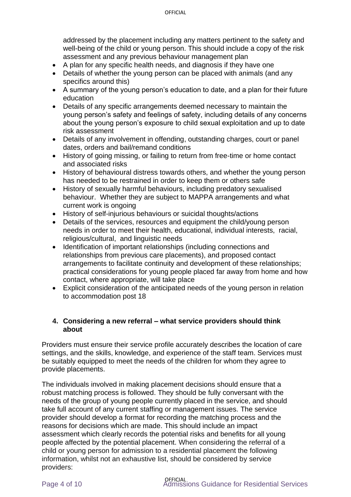addressed by the placement including any matters pertinent to the safety and well-being of the child or young person. This should include a copy of the risk assessment and any previous behaviour management plan

- A plan for any specific health needs, and diagnosis if they have one
- Details of whether the young person can be placed with animals (and any specifics around this)
- A summary of the young person's education to date, and a plan for their future education
- Details of any specific arrangements deemed necessary to maintain the young person's safety and feelings of safety, including details of any concerns about the young person's exposure to child sexual exploitation and up to date risk assessment
- Details of any involvement in offending, outstanding charges, court or panel dates, orders and bail/remand conditions
- History of going missing, or failing to return from free-time or home contact and associated risks
- History of behavioural distress towards others, and whether the young person has needed to be restrained in order to keep them or others safe
- History of sexually harmful behaviours, including predatory sexualised behaviour. Whether they are subject to MAPPA arrangements and what current work is ongoing
- History of self-injurious behaviours or suicidal thoughts/actions
- Details of the services, resources and equipment the child/young person needs in order to meet their health, educational, individual interests, racial, religious/cultural, and linguistic needs
- Identification of important relationships (including connections and relationships from previous care placements), and proposed contact arrangements to facilitate continuity and development of these relationships; practical considerations for young people placed far away from home and how contact, where appropriate, will take place
- Explicit consideration of the anticipated needs of the young person in relation to accommodation post 18

#### **4. Considering a new referral – what service providers should think about**

Providers must ensure their service profile accurately describes the location of care settings, and the skills, knowledge, and experience of the staff team. Services must be suitably equipped to meet the needs of the children for whom they agree to provide placements.

The individuals involved in making placement decisions should ensure that a robust matching process is followed. They should be fully conversant with the needs of the group of young people currently placed in the service, and should take full account of any current staffing or management issues. The service provider should develop a format for recording the matching process and the reasons for decisions which are made. This should include an impact assessment which clearly records the potential risks and benefits for all young people affected by the potential placement. When considering the referral of a child or young person for admission to a residential placement the following information, whilst not an exhaustive list, should be considered by service providers: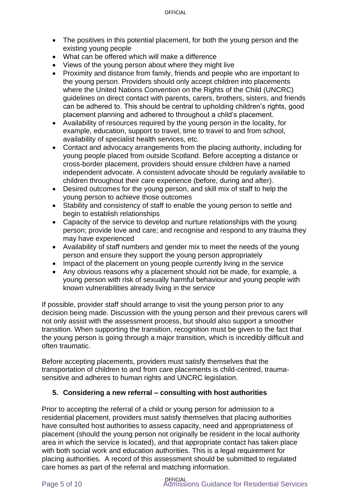- The positives in this potential placement, for both the young person and the existing young people
- What can be offered which will make a difference
- Views of the young person about where they might live
- Proximity and distance from family, friends and people who are important to the young person. Providers should only accept children into placements where the United Nations Convention on the Rights of the Child (UNCRC) guidelines on direct contact with parents, carers, brothers, sisters, and friends can be adhered to. This should be central to upholding children's rights, good placement planning and adhered to throughout a child's placement.
- Availability of resources required by the young person in the locality, for example, education, support to travel, time to travel to and from school, availability of specialist health services, etc.
- Contact and advocacy arrangements from the placing authority, including for young people placed from outside Scotland. Before accepting a distance or cross-border placement, providers should ensure children have a named independent advocate. A consistent advocate should be regularly available to children throughout their care experience (before, during and after).
- Desired outcomes for the young person, and skill mix of staff to help the young person to achieve those outcomes
- Stability and consistency of staff to enable the young person to settle and begin to establish relationships
- Capacity of the service to develop and nurture relationships with the young person; provide love and care; and recognise and respond to any trauma they may have experienced
- Availability of staff numbers and gender mix to meet the needs of the young person and ensure they support the young person appropriately
- Impact of the placement on young people currently living in the service
- Any obvious reasons why a placement should not be made, for example, a young person with risk of sexually harmful behaviour and young people with known vulnerabilities already living in the service

If possible, provider staff should arrange to visit the young person prior to any decision being made. Discussion with the young person and their previous carers will not only assist with the assessment process, but should also support a smoother transition. When supporting the transition, recognition must be given to the fact that the young person is going through a major transition, which is incredibly difficult and often traumatic.

Before accepting placements, providers must satisfy themselves that the transportation of children to and from care placements is child-centred, traumasensitive and adheres to human rights and UNCRC legislation.

#### **5. Considering a new referral – consulting with host authorities**

Prior to accepting the referral of a child or young person for admission to a residential placement, providers must satisfy themselves that placing authorities have consulted host authorities to assess capacity, need and appropriateness of placement (should the young person not originally be resident in the local authority area in which the service is located), and that appropriate contact has taken place with both social work and education authorities. This is a legal requirement for placing authorities. A record of this assessment should be submitted to regulated care homes as part of the referral and matching information.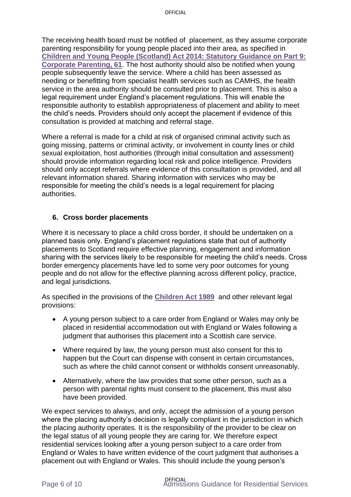The receiving health board must be notified of placement, as they assume corporate parenting responsibility for young people placed into their area, as specified in **[Children and Young People \(Scotland\) Act 2014: Statutory Guidance on Part 9:](https://www.gov.scot/binaries/content/documents/govscot/publications/advice-and-guidance/2015/08/statutory-guidance-part-9-corporate-parenting-children-young-people-scotland/documents/00483676-pdf/00483676-pdf/govscot%3Adocument/00483676.pdf)  [Corporate Parenting, 61](https://www.gov.scot/binaries/content/documents/govscot/publications/advice-and-guidance/2015/08/statutory-guidance-part-9-corporate-parenting-children-young-people-scotland/documents/00483676-pdf/00483676-pdf/govscot%3Adocument/00483676.pdf)**. The host authority should also be notified when young people subsequently leave the service. Where a child has been assessed as needing or benefitting from specialist health services such as CAMHS, the health service in the area authority should be consulted prior to placement. This is also a legal requirement under England's placement regulations. This will enable the responsible authority to establish appropriateness of placement and ability to meet the child's needs. Providers should only accept the placement if evidence of this consultation is provided at matching and referral stage.

Where a referral is made for a child at risk of organised criminal activity such as going missing, patterns or criminal activity, or involvement in county lines or child sexual exploitation, host authorities (through initial consultation and assessment) should provide information regarding local risk and police intelligence. Providers should only accept referrals where evidence of this consultation is provided, and all relevant information shared. Sharing information with services who may be responsible for meeting the child's needs is a legal requirement for placing authorities.

#### **6. Cross border placements**

Where it is necessary to place a child cross border, it should be undertaken on a planned basis only. England's placement regulations state that out of authority placements to Scotland require effective planning, engagement and information sharing with the services likely to be responsible for meeting the child's needs. Cross border emergency placements have led to some very poor outcomes for young people and do not allow for the effective planning across different policy, practice, and legal jurisdictions.

As specified in the provisions of the **[Children Act 1989](http://www.legislation.gov.uk/ukpga/1989/41/schedule/2/paragraph/19)** and other relevant legal provisions:

- A young person subject to a care order from England or Wales may only be placed in residential accommodation out with England or Wales following a judgment that authorises this placement into a Scottish care service.
- Where required by law, the young person must also consent for this to happen but the Court can dispense with consent in certain circumstances, such as where the child cannot consent or withholds consent unreasonably.
- Alternatively, where the law provides that some other person, such as a person with parental rights must consent to the placement, this must also have been provided.

We expect services to always, and only, accept the admission of a young person where the placing authority's decision is legally compliant in the jurisdiction in which the placing authority operates. It is the responsibility of the provider to be clear on the legal status of all young people they are caring for. We therefore expect residential services looking after a young person subject to a care order from England or Wales to have written evidence of the court judgment that authorises a placement out with England or Wales. This should include the young person's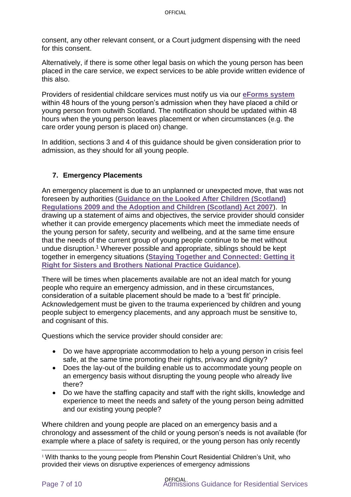consent, any other relevant consent, or a Court judgment dispensing with the need for this consent.

Alternatively, if there is some other legal basis on which the young person has been placed in the care service, we expect services to be able provide written evidence of this also.

Providers of residential childcare services must notify us via our **[eForms system](https://eforms.careinspectorate.com/)** within 48 hours of the young person's admission when they have placed a child or young person from outwith Scotland. The notification should be updated within 48 hours when the young person leaves placement or when circumstances (e.g. the care order young person is placed on) change.

In addition, sections 3 and 4 of this guidance should be given consideration prior to admission, as they should for all young people.

#### **7. Emergency Placements**

An emergency placement is due to an unplanned or unexpected move, that was not foreseen by authorities (**[Guidance on the Looked After Children \(Scotland\)](http://www.gov.scot/Publications/2011/03/10110037/13)  [Regulations 2009 and the Adoption and Children \(Scotland\) Act 2007](http://www.gov.scot/Publications/2011/03/10110037/13)**). In drawing up a statement of aims and objectives, the service provider should consider whether it can provide emergency placements which meet the immediate needs of the young person for safety, security and wellbeing, and at the same time ensure that the needs of the current group of young people continue to be met without undue disruption.<sup>1</sup> Wherever possible and appropriate, siblings should be kept together in emergency situations (**[Staying Together and Connected: Getting it](https://www.gov.scot/publications/staying-together-connected-getting-right-sisters-brothers-national-practice-guidance/documents/)  [Right for Sisters and Brothers National Practice Guidance](https://www.gov.scot/publications/staying-together-connected-getting-right-sisters-brothers-national-practice-guidance/documents/)**).

There will be times when placements available are not an ideal match for young people who require an emergency admission, and in these circumstances, consideration of a suitable placement should be made to a 'best fit' principle. Acknowledgement must be given to the trauma experienced by children and young people subject to emergency placements, and any approach must be sensitive to, and cognisant of this.

Questions which the service provider should consider are:

- Do we have appropriate accommodation to help a young person in crisis feel safe, at the same time promoting their rights, privacy and dignity?
- Does the lay-out of the building enable us to accommodate young people on an emergency basis without disrupting the young people who already live there?
- Do we have the staffing capacity and staff with the right skills, knowledge and experience to meet the needs and safety of the young person being admitted and our existing young people?

Where children and young people are placed on an emergency basis and a chronology and assessment of the child or young person's needs is not available (for example where a place of safety is required, or the young person has only recently

<sup>1</sup> With thanks to the young people from Plenshin Court Residential Children's Unit, who provided their views on disruptive experiences of emergency admissions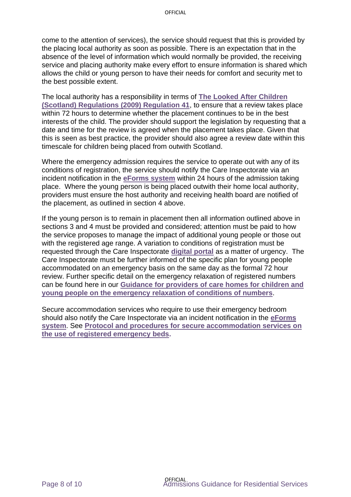come to the attention of services), the service should request that this is provided by the placing local authority as soon as possible. There is an expectation that in the absence of the level of information which would normally be provided, the receiving service and placing authority make every effort to ensure information is shared which allows the child or young person to have their needs for comfort and security met to the best possible extent.

The local authority has a responsibility in terms of **[The Looked After Children](http://www.legislation.gov.uk/ssi/2009/210/regulation/41/made)  [\(Scotland\) Regulations \(2009\) Regulation 41](http://www.legislation.gov.uk/ssi/2009/210/regulation/41/made)**, to ensure that a review takes place within 72 hours to determine whether the placement continues to be in the best interests of the child. The provider should support the legislation by requesting that a date and time for the review is agreed when the placement takes place. Given that this is seen as best practice, the provider should also agree a review date within this timescale for children being placed from outwith Scotland.

Where the emergency admission requires the service to operate out with any of its conditions of registration, the service should notify the Care Inspectorate via an incident notification in the **[eForms system](https://eforms.careinspectorate.com/)** within 24 hours of the admission taking place. Where the young person is being placed outwith their home local authority, providers must ensure the host authority and receiving health board are notified of the placement, as outlined in section 4 above.

If the young person is to remain in placement then all information outlined above in sections 3 and 4 must be provided and considered; attention must be paid to how the service proposes to manage the impact of additional young people or those out with the registered age range. A variation to conditions of registration must be requested through the Care Inspectorate **[digital portal](https://portal.careinspectorate.gov.scot/Account/Register)** as a matter of urgency. The Care Inspectorate must be further informed of the specific plan for young people accommodated on an emergency basis on the same day as the formal 72 hour review. Further specific detail on the emergency relaxation of registered numbers can be found here in our **[Guidance for providers of care homes for children and](https://www.careinspectorate.com/images/documents/6409/Guidance%20on%20Emergency%20Relaxation%20of%20Conditions.pdf)  [young people on the emergency relaxation of conditions of numbers](https://www.careinspectorate.com/images/documents/6409/Guidance%20on%20Emergency%20Relaxation%20of%20Conditions.pdf)**.

Secure accommodation services who require to use their emergency bedroom should also notify the Care Inspectorate via an incident notification in the **[eForms](https://eforms.careinspectorate.com/)  [system](https://eforms.careinspectorate.com/)**. See **[Protocol and procedures for secure accommodation services on](https://www.careinspectorate.com/images/documents/6446/Protocol%20and%20procedures%20for%20secure%20accommodation%20services%20on%20the%20use%20of%20registered%20emergency%20beds.pdf)  [the use of registered emergency beds.](https://www.careinspectorate.com/images/documents/6446/Protocol%20and%20procedures%20for%20secure%20accommodation%20services%20on%20the%20use%20of%20registered%20emergency%20beds.pdf)**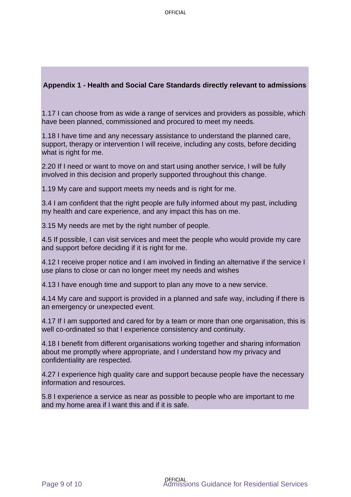#### **Appendix 1 - Health and Social Care Standards directly relevant to admissions**

1.17 I can choose from as wide a range of services and providers as possible, which have been planned, commissioned and procured to meet my needs.

1.18 I have time and any necessary assistance to understand the planned care, support, therapy or intervention I will receive, including any costs, before deciding what is right for me.

2.20 If I need or want to move on and start using another service, I will be fully involved in this decision and properly supported throughout this change.

1.19 My care and support meets my needs and is right for me.

3.4 I am confident that the right people are fully informed about my past, including my health and care experience, and any impact this has on me.

3.15 My needs are met by the right number of people.

4.5 If possible, I can visit services and meet the people who would provide my care and support before deciding if it is right for me.

4.12 I receive proper notice and I am involved in finding an alternative if the service I use plans to close or can no longer meet my needs and wishes

4.13 I have enough time and support to plan any move to a new service.

4.14 My care and support is provided in a planned and safe way, including if there is an emergency or unexpected event.

4.17 If I am supported and cared for by a team or more than one organisation, this is well co-ordinated so that I experience consistency and continuity.

4.18 I benefit from different organisations working together and sharing information about me promptly where appropriate, and I understand how my privacy and confidentiality are respected.

4.27 I experience high quality care and support because people have the necessary information and resources.

5.8 I experience a service as near as possible to people who are important to me and my home area if I want this and if it is safe.